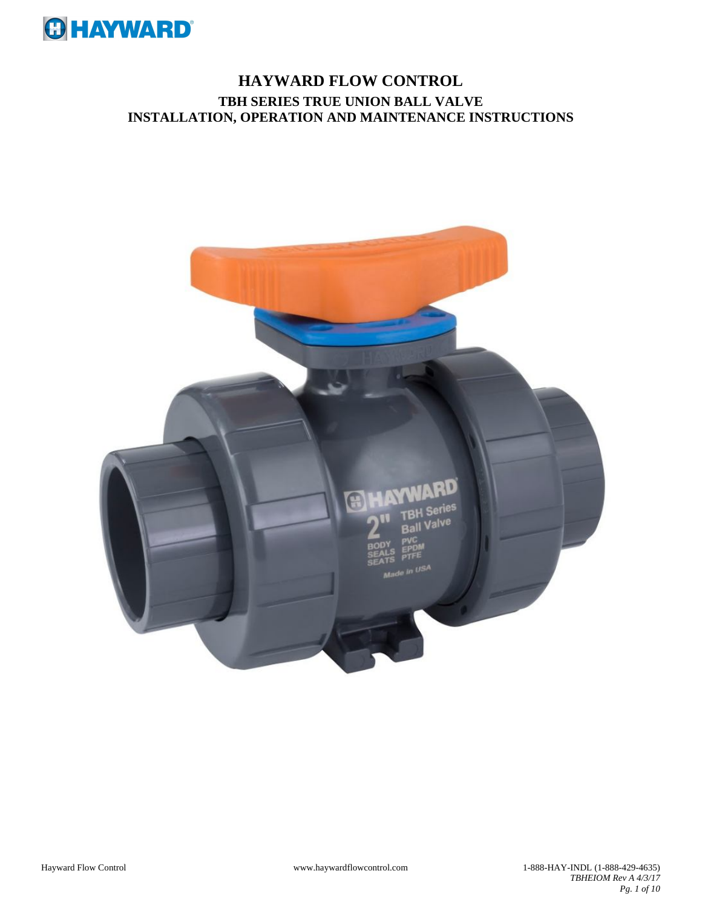

# **HAYWARD FLOW CONTROL TBH SERIES TRUE UNION BALL VALVE INSTALLATION, OPERATION AND MAINTENANCE INSTRUCTIONS**

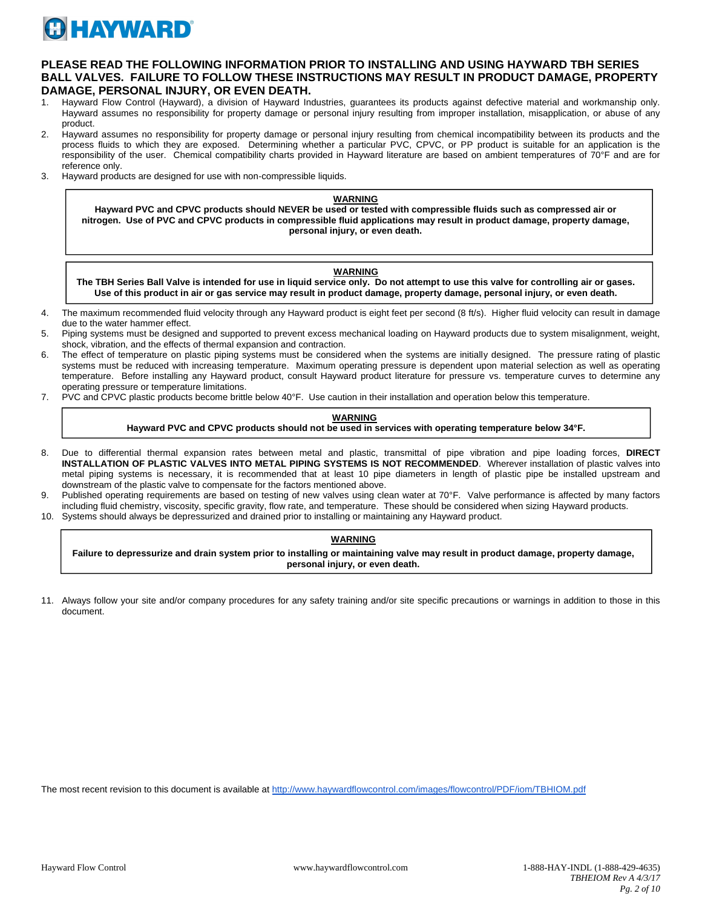

# **PLEASE READ THE FOLLOWING INFORMATION PRIOR TO INSTALLING AND USING HAYWARD TBH SERIES BALL VALVES. FAILURE TO FOLLOW THESE INSTRUCTIONS MAY RESULT IN PRODUCT DAMAGE, PROPERTY DAMAGE, PERSONAL INJURY, OR EVEN DEATH.**

- 1. Hayward Flow Control (Hayward), a division of Hayward Industries, guarantees its products against defective material and workmanship only. Hayward assumes no responsibility for property damage or personal injury resulting from improper installation, misapplication, or abuse of any product.
- 2. Hayward assumes no responsibility for property damage or personal injury resulting from chemical incompatibility between its products and the process fluids to which they are exposed. Determining whether a particular PVC, CPVC, or PP product is suitable for an application is the responsibility of the user. Chemical compatibility charts provided in Hayward literature are based on ambient temperatures of 70°F and are for reference only.
- 3. Hayward products are designed for use with non-compressible liquids.

#### **WARNING**

**Hayward PVC and CPVC products should NEVER be used or tested with compressible fluids such as compressed air or nitrogen. Use of PVC and CPVC products in compressible fluid applications may result in product damage, property damage, personal injury, or even death.**

#### **WARNING**

**The TBH Series Ball Valve is intended for use in liquid service only. Do not attempt to use this valve for controlling air or gases. Use of this product in air or gas service may result in product damage, property damage, personal injury, or even death.**

- 4. The maximum recommended fluid velocity through any Hayward product is eight feet per second (8 ft/s). Higher fluid velocity can result in damage due to the water hammer effect.
- 5. Piping systems must be designed and supported to prevent excess mechanical loading on Hayward products due to system misalignment, weight, shock, vibration, and the effects of thermal expansion and contraction.
- 6. The effect of temperature on plastic piping systems must be considered when the systems are initially designed. The pressure rating of plastic systems must be reduced with increasing temperature. Maximum operating pressure is dependent upon material selection as well as operating temperature. Before installing any Hayward product, consult Hayward product literature for pressure vs. temperature curves to determine any operating pressure or temperature limitations.
- 7. PVC and CPVC plastic products become brittle below 40°F. Use caution in their installation and operation below this temperature.

#### **WARNING Hayward PVC and CPVC products should not be used in services with operating temperature below 34°F.**

- 8. Due to differential thermal expansion rates between metal and plastic, transmittal of pipe vibration and pipe loading forces, **DIRECT INSTALLATION OF PLASTIC VALVES INTO METAL PIPING SYSTEMS IS NOT RECOMMENDED**. Wherever installation of plastic valves into metal piping systems is necessary, it is recommended that at least 10 pipe diameters in length of plastic pipe be installed upstream and downstream of the plastic valve to compensate for the factors mentioned above.
- 9. Published operating requirements are based on testing of new valves using clean water at 70°F. Valve performance is affected by many factors including fluid chemistry, viscosity, specific gravity, flow rate, and temperature. These should be considered when sizing Hayward products.
- 10. Systems should always be depressurized and drained prior to installing or maintaining any Hayward product.

#### **WARNING**

**Failure to depressurize and drain system prior to installing or maintaining valve may result in product damage, property damage, personal injury, or even death.**

11. Always follow your site and/or company procedures for any safety training and/or site specific precautions or warnings in addition to those in this document.

The most recent revision to this document is available at http://www.haywardflowcontrol.com/images/flowcontrol/PDF/iom/TBHIOM.pdf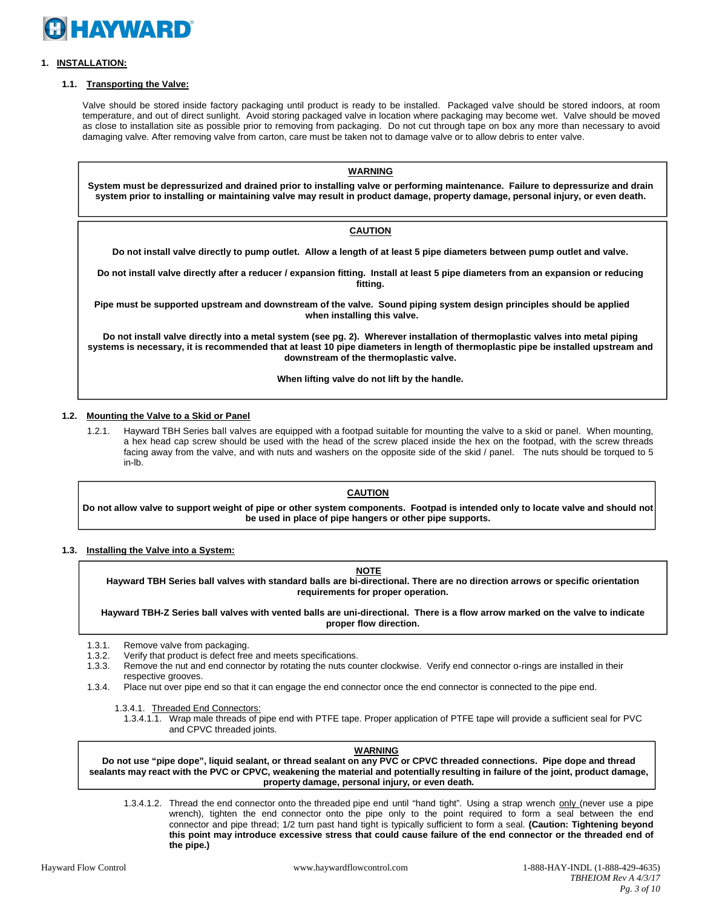

# **1. INSTALLATION:**

# **1.1. Transporting the Valve:**

Valve should be stored inside factory packaging until product is ready to be installed. Packaged valve should be stored indoors, at room temperature, and out of direct sunlight. Avoid storing packaged valve in location where packaging may become wet. Valve should be moved as close to installation site as possible prior to removing from packaging. Do not cut through tape on box any more than necessary to avoid damaging valve. After removing valve from carton, care must be taken not to damage valve or to allow debris to enter valve.

**WARNING System must be depressurized and drained prior to installing valve or performing maintenance. Failure to depressurize and drain system prior to installing or maintaining valve may result in product damage, property damage, personal injury, or even death.**

# **CAUTION**

**Do not install valve directly to pump outlet. Allow a length of at least 5 pipe diameters between pump outlet and valve.**

**Do not install valve directly after a reducer / expansion fitting. Install at least 5 pipe diameters from an expansion or reducing fitting.**

**Pipe must be supported upstream and downstream of the valve. Sound piping system design principles should be applied when installing this valve.**

**Do not install valve directly into a metal system (see pg. 2). Wherever installation of thermoplastic valves into metal piping systems is necessary, it is recommended that at least 10 pipe diameters in length of thermoplastic pipe be installed upstream and downstream of the thermoplastic valve.**

**When lifting valve do not lift by the handle.**

# **1.2. Mounting the Valve to a Skid or Panel**

1.2.1. Hayward TBH Series ball valves are equipped with a footpad suitable for mounting the valve to a skid or panel. When mounting, a hex head cap screw should be used with the head of the screw placed inside the hex on the footpad, with the screw threads facing away from the valve, and with nuts and washers on the opposite side of the skid / panel. The nuts should be torqued to 5 in-lb.

#### **CAUTION**

**Do not allow valve to support weight of pipe or other system components. Footpad is intended only to locate valve and should not be used in place of pipe hangers or other pipe supports.**

#### **1.3. Installing the Valve into a System:**

**NOTE**

**Hayward TBH Series ball valves with standard balls are bi-directional. There are no direction arrows or specific orientation requirements for proper operation.**

**Hayward TBH-Z Series ball valves with vented balls are uni-directional. There is a flow arrow marked on the valve to indicate proper flow direction.**

1.3.1. Remove valve from packaging.

- 1.3.2. Verify that product is defect free and meets specifications.<br>1.3.3. Remove the nut and end connector by rotating the nuts cor-
- Remove the nut and end connector by rotating the nuts counter clockwise. Verify end connector o-rings are installed in their respective grooves.
- 1.3.4. Place nut over pipe end so that it can engage the end connector once the end connector is connected to the pipe end.

1.3.4.1. Threaded End Connectors:

1.3.4.1.1. Wrap male threads of pipe end with PTFE tape. Proper application of PTFE tape will provide a sufficient seal for PVC and CPVC threaded joints.

**WARNING**

Do not use "pipe dope", liquid sealant, or thread sealant on any PVC or CPVC threaded connections. Pipe dope and thread sealants may react with the PVC or CPVC, weakening the material and potentially resulting in failure of the joint, product damage, **property damage, personal injury, or even death.**

1.3.4.1.2. Thread the end connector onto the threaded pipe end until "hand tight". Using a strap wrench only (never use a pipe wrench), tighten the end connector onto the pipe only to the point required to form a seal between the end connector and pipe thread; 1/2 turn past hand tight is typically sufficient to form a seal. **(Caution: Tightening beyond this point may introduce excessive stress that could cause failure of the end connector or the threaded end of the pipe.)**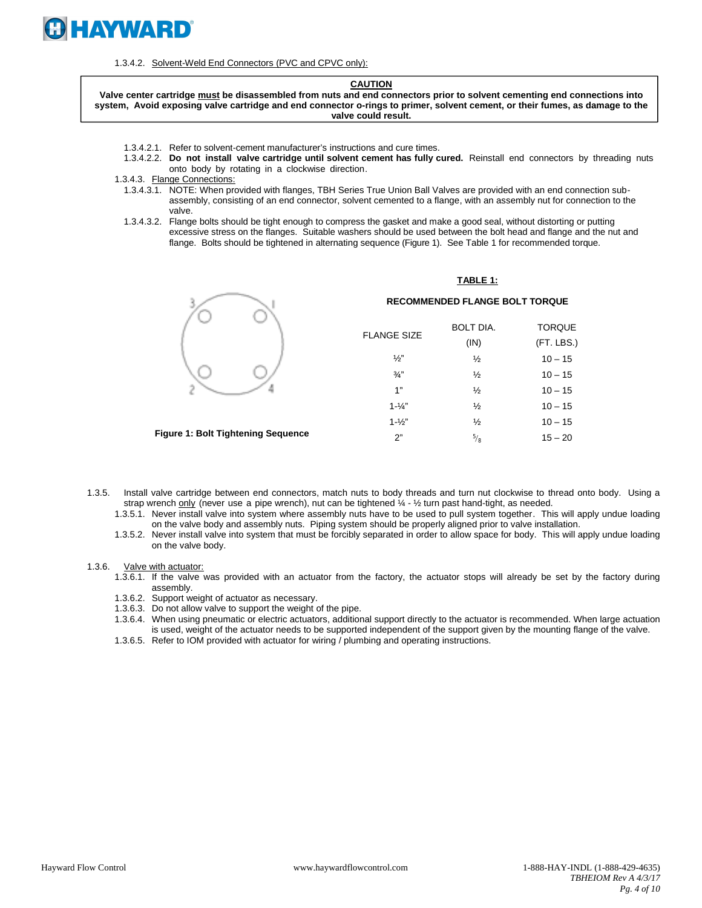

1.3.4.2. Solvent-Weld End Connectors (PVC and CPVC only):

#### **CAUTION**

**Valve center cartridge must be disassembled from nuts and end connectors prior to solvent cementing end connections into system, Avoid exposing valve cartridge and end connector o-rings to primer, solvent cement, or their fumes, as damage to the valve could result.**

- 1.3.4.2.1. Refer to solvent-cement manufacturer's instructions and cure times.
- 1.3.4.2.2. **Do not install valve cartridge until solvent cement has fully cured.** Reinstall end connectors by threading nuts onto body by rotating in a clockwise direction.
- 1.3.4.3. Flange Connections:
	- 1.3.4.3.1. NOTE: When provided with flanges, TBH Series True Union Ball Valves are provided with an end connection subassembly, consisting of an end connector, solvent cemented to a flange, with an assembly nut for connection to the valve.
	- 1.3.4.3.2. Flange bolts should be tight enough to compress the gasket and make a good seal, without distorting or putting excessive stress on the flanges. Suitable washers should be used between the bolt head and flange and the nut and flange. Bolts should be tightened in alternating sequence (Figure 1). See Table 1 for recommended torque.



#### **RECOMMENDED FLANGE BOLT TORQUE** BOLT DIA. TODOUE

**TABLE 1:**

| <b>FLANGE SIZE</b> | BULI DIA.     | TURQUE.    |
|--------------------|---------------|------------|
|                    | (IN)          | (FT. LBS.) |
| ソっ"                | $\frac{1}{2}$ | $10 - 15$  |
| $\frac{3}{4}$      | $\frac{1}{2}$ | $10 - 15$  |
| 1"                 | $\frac{1}{2}$ | $10 - 15$  |
| $1 - \frac{1}{4}$  | $\frac{1}{2}$ | $10 - 15$  |
| $1 - \frac{1}{2}$  | $\frac{1}{2}$ | $10 - 15$  |
| 2"                 | $\frac{5}{8}$ | $15 - 20$  |
|                    |               |            |

**Figure 1: Bolt Tightening Sequence**

- 1.3.5. Install valve cartridge between end connectors, match nuts to body threads and turn nut clockwise to thread onto body. Using a strap wrench only (never use a pipe wrench), nut can be tightened  $\frac{1}{4}$  -  $\frac{1}{2}$  turn past hand-tight, as needed.
	- 1.3.5.1. Never install valve into system where assembly nuts have to be used to pull system together. This will apply undue loading on the valve body and assembly nuts. Piping system should be properly aligned prior to valve installation.
	- 1.3.5.2. Never install valve into system that must be forcibly separated in order to allow space for body. This will apply undue loading on the valve body.
- 1.3.6. Valve with actuator:
	- 1.3.6.1. If the valve was provided with an actuator from the factory, the actuator stops will already be set by the factory during assembly.
	- 1.3.6.2. Support weight of actuator as necessary.
	- 1.3.6.3. Do not allow valve to support the weight of the pipe.
	- 1.3.6.4. When using pneumatic or electric actuators, additional support directly to the actuator is recommended. When large actuation is used, weight of the actuator needs to be supported independent of the support given by the mounting flange of the valve.
	- 1.3.6.5. Refer to IOM provided with actuator for wiring / plumbing and operating instructions.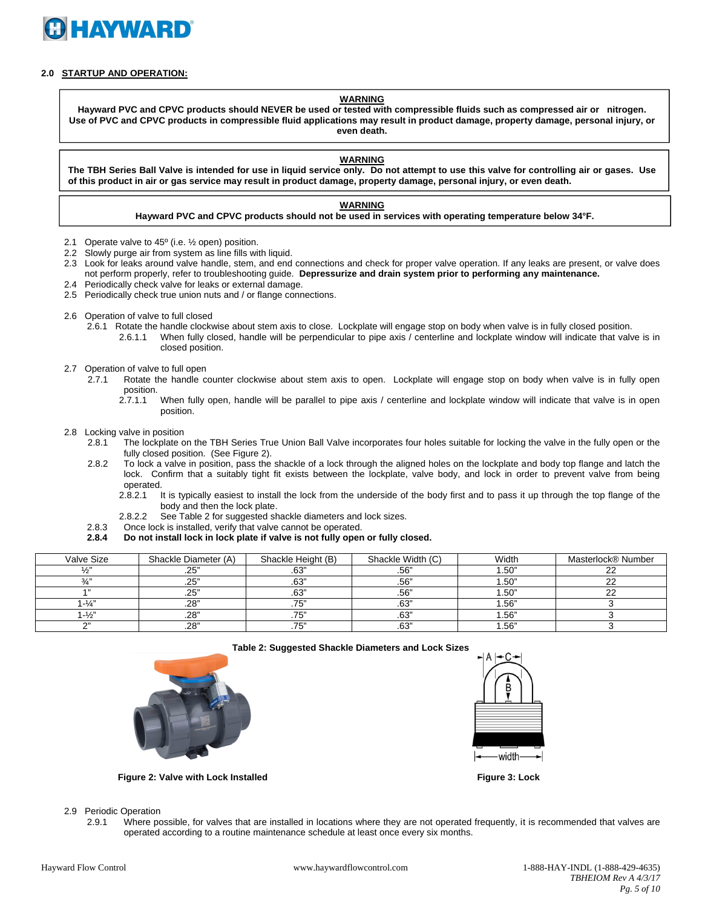

# **2.0 STARTUP AND OPERATION:**

#### **WARNING**

**Hayward PVC and CPVC products should NEVER be used or tested with compressible fluids such as compressed air or nitrogen. Use of PVC and CPVC products in compressible fluid applications may result in product damage, property damage, personal injury, or even death.**

#### **WARNING**

**The TBH Series Ball Valve is intended for use in liquid service only. Do not attempt to use this valve for controlling air or gases. Use of this product in air or gas service may result in product damage, property damage, personal injury, or even death.**

#### **WARNING**

# **Hayward PVC and CPVC products should not be used in services with operating temperature below 34°F.**

- 2.1 Operate valve to 45º (i.e. ½ open) position.
- 2.2 Slowly purge air from system as line fills with liquid.
- 2.3 Look for leaks around valve handle, stem, and end connections and check for proper valve operation. If any leaks are present, or valve does not perform properly, refer to troubleshooting guide. **Depressurize and drain system prior to performing any maintenance.**
- 2.4 Periodically check valve for leaks or external damage. 2.5 Periodically check true union nuts and / or flange connections.
- 
- 2.6 Operation of valve to full closed
	- 2.6.1 Rotate the handle clockwise about stem axis to close. Lockplate will engage stop on body when valve is in fully closed position.
		- 2.6.1.1 When fully closed, handle will be perpendicular to pipe axis / centerline and lockplate window will indicate that valve is in closed position.
- 2.7 Operation of valve to full open
	- 2.7.1 Rotate the handle counter clockwise about stem axis to open. Lockplate will engage stop on body when valve is in fully open position.
		- 2.7.1.1 When fully open, handle will be parallel to pipe axis / centerline and lockplate window will indicate that valve is in open position.
- 2.8 Locking valve in position
	- 2.8.1 The lockplate on the TBH Series True Union Ball Valve incorporates four holes suitable for locking the valve in the fully open or the fully closed position. (See Figure 2).
	- 2.8.2 To lock a valve in position, pass the shackle of a lock through the aligned holes on the lockplate and body top flange and latch the lock. Confirm that a suitably tight fit exists between the lockplate, valve body, and lock in order to prevent valve from being operated.<br>1 2.8.2.1
		- It is typically easiest to install the lock from the underside of the body first and to pass it up through the top flange of the body and then the lock plate.
		- 2.8.2.2 See Table 2 for suggested shackle diameters and lock sizes.
	- 2.8.3 Once lock is installed, verify that valve cannot be operated.
	- **2.8.4 Do not install lock in lock plate if valve is not fully open or fully closed.**

| Valve Size        | Shackle Diameter (A) | Shackle Height (B) | Shackle Width (C) | Width | Masterlock® Number |
|-------------------|----------------------|--------------------|-------------------|-------|--------------------|
| $\frac{1}{2}$     | .25"                 | .63"               | .56"              | .50"  | ົ                  |
| $3/$ "            | .25"                 | .63"               | .56"              | 50"   | ົ                  |
| A 33              | .25"                 | .63"               | .56"              | .50"  | ົ                  |
| $1 - \frac{1}{4}$ | .28"                 | フド                 | .63"              | .56"  |                    |
| $-1/2$            | .28"                 | フド<br>ن ،          | .63"              | .56"  |                    |
| $\sim$            | .28"                 | フロッ<br>ن ،         | .63"              | .56"  |                    |







**Figure 2: Valve with Lock Installed Figure 3: Lock**

2.9 Periodic Operation

2.9.1 Where possible, for valves that are installed in locations where they are not operated frequently, it is recommended that valves are operated according to a routine maintenance schedule at least once every six months.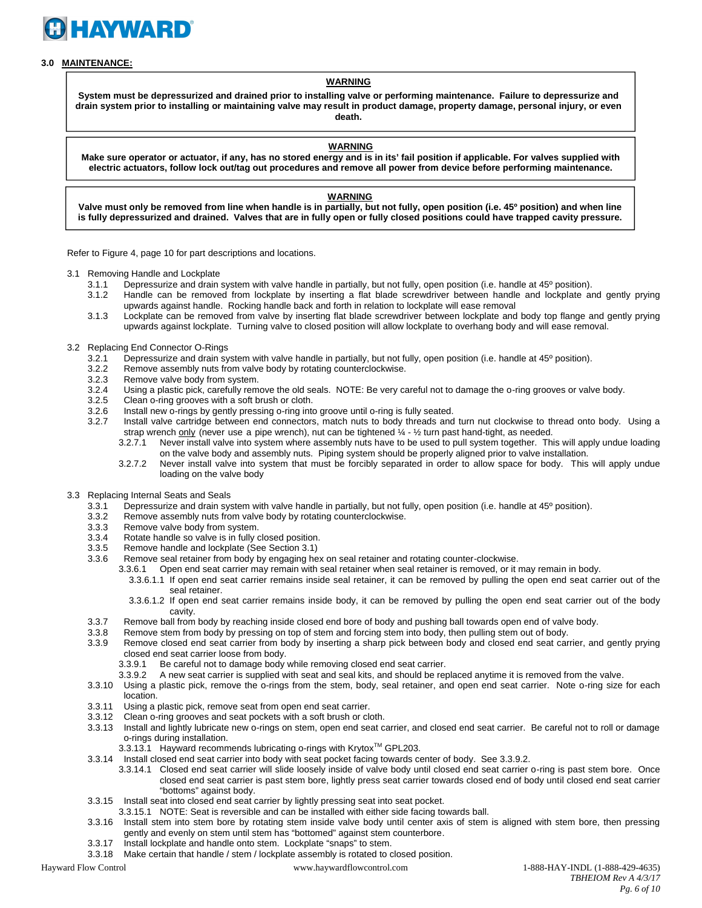

# **3.0 MAINTENANCE:**

# **WARNING**

**System must be depressurized and drained prior to installing valve or performing maintenance. Failure to depressurize and drain system prior to installing or maintaining valve may result in product damage, property damage, personal injury, or even death.**

#### **WARNING**

**Make sure operator or actuator, if any, has no stored energy and is in its' fail position if applicable. For valves supplied with electric actuators, follow lock out/tag out procedures and remove all power from device before performing maintenance.**

## **WARNING**

**Valve must only be removed from line when handle is in partially, but not fully, open position (i.e. 45º position) and when line is fully depressurized and drained. Valves that are in fully open or fully closed positions could have trapped cavity pressure.**

Refer to Figure 4, page 10 for part descriptions and locations.

- 3.1 Removing Handle and Lockplate
	- 3.1.1 Depressurize and drain system with valve handle in partially, but not fully, open position (i.e. handle at 45º position).
	- 3.1.2 Handle can be removed from lockplate by inserting a flat blade screwdriver between handle and lockplate and gently prying upwards against handle. Rocking handle back and forth in relation to lockplate will ease removal
	- 3.1.3 Lockplate can be removed from valve by inserting flat blade screwdriver between lockplate and body top flange and gently prying upwards against lockplate. Turning valve to closed position will allow lockplate to overhang body and will ease removal.
- 3.2 Replacing End Connector O-Rings<br>3.2.1 Depressurize and drain sv
	- Depressurize and drain system with valve handle in partially, but not fully, open position (i.e. handle at 45<sup>°</sup> position).
	- 3.2.2 Remove assembly nuts from valve body by rotating counterclockwise.
	- 3.2.3 Remove valve body from system.<br>3.2.4 Using a plastic pick, carefully rem
	- Using a plastic pick, carefully remove the old seals. NOTE: Be very careful not to damage the o-ring grooves or valve body.
	- 3.2.5 Clean o-ring grooves with a soft brush or cloth.
	- 3.2.6 Install new o-rings by gently pressing o-ring into groove until o-ring is fully seated.<br>3.2.7 Install valve cartridge between end connectors, match nuts to body threads and
		- Install valve cartridge between end connectors, match nuts to body threads and turn nut clockwise to thread onto body. Using a strap wrench only (never use a pipe wrench), nut can be tightened  $\frac{1}{4}$  -  $\frac{1}{2}$  turn past hand-tight, as needed.
			- 3.2.7.1 Never install valve into system where assembly nuts have to be used to pull system together. This will apply undue loading on the valve body and assembly nuts. Piping system should be properly aligned prior to valve installation.
			- 3.2.7.2 Never install valve into system that must be forcibly separated in order to allow space for body. This will apply undue loading on the valve body
- 3.3 Replacing Internal Seats and Seals<br>3.3.1 Depressurize and drain sys
	- Depressurize and drain system with valve handle in partially, but not fully, open position (i.e. handle at 45° position).
	- 3.3.2 Remove assembly nuts from valve body by rotating counterclockwise.
	- 3.3.3 Remove valve body from system.
	-
	- 3.3.4 Rotate handle so valve is in fully closed position.<br>3.3.5 Remove handle and lockplate (See Section 3.1) Remove handle and lockplate (See Section 3.1)
	- 3.3.6 Remove seal retainer from body by engaging hex on seal retainer and rotating counter-clockwise.
		- 3.3.6.1 Open end seat carrier may remain with seal retainer when seal retainer is removed, or it may remain in body.
			- 3.3.6.1.1 If open end seat carrier remains inside seal retainer, it can be removed by pulling the open end seat carrier out of the seal retainer.
			- 3.3.6.1.2 If open end seat carrier remains inside body, it can be removed by pulling the open end seat carrier out of the body cavity.
	- 3.3.7 Remove ball from body by reaching inside closed end bore of body and pushing ball towards open end of valve body.<br>3.3.8 Remove stem from body by pressing on top of stem and forcing stem into body, then pulling stem o
	- Remove stem from body by pressing on top of stem and forcing stem into body, then pulling stem out of body.
	- 3.3.9 Remove closed end seat carrier from body by inserting a sharp pick between body and closed end seat carrier, and gently prying closed end seat carrier loose from body.
		- 3.3.9.1 Be careful not to damage body while removing closed end seat carrier.
		- 3.3.9.2 A new seat carrier is supplied with seat and seal kits, and should be replaced anytime it is removed from the valve.
	- 3.3.10 Using a plastic pick, remove the o-rings from the stem, body, seal retainer, and open end seat carrier. Note o-ring size for each location.
	- 3.3.11 Using a plastic pick, remove seat from open end seat carrier.
	- 3.3.12 Clean o-ring grooves and seat pockets with a soft brush or cloth.
	- 3.3.13 Install and lightly lubricate new o-rings on stem, open end seat carrier, and closed end seat carrier. Be careful not to roll or damage o-rings during installation.
		- 3.3.13.1 Hayward recommends lubricating o-rings with Krytox™ GPL203.
	- 3.3.14 Install closed end seat carrier into body with seat pocket facing towards center of body. See 3.3.9.2.
		- 3.3.14.1 Closed end seat carrier will slide loosely inside of valve body until closed end seat carrier o-ring is past stem bore. Once closed end seat carrier is past stem bore, lightly press seat carrier towards closed end of body until closed end seat carrier "bottoms" against body.
	- 3.3.15 Install seat into closed end seat carrier by lightly pressing seat into seat pocket.
		- 3.3.15.1 NOTE: Seat is reversible and can be installed with either side facing towards ball.
	- 3.3.16 Install stem into stem bore by rotating stem inside valve body until center axis of stem is aligned with stem bore, then pressing gently and evenly on stem until stem has "bottomed" against stem counterbore.
	- 3.3.17 Install lockplate and handle onto stem. Lockplate "snaps" to stem.
- 3.3.18 Make certain that handle / stem / lockplate assembly is rotated to closed position.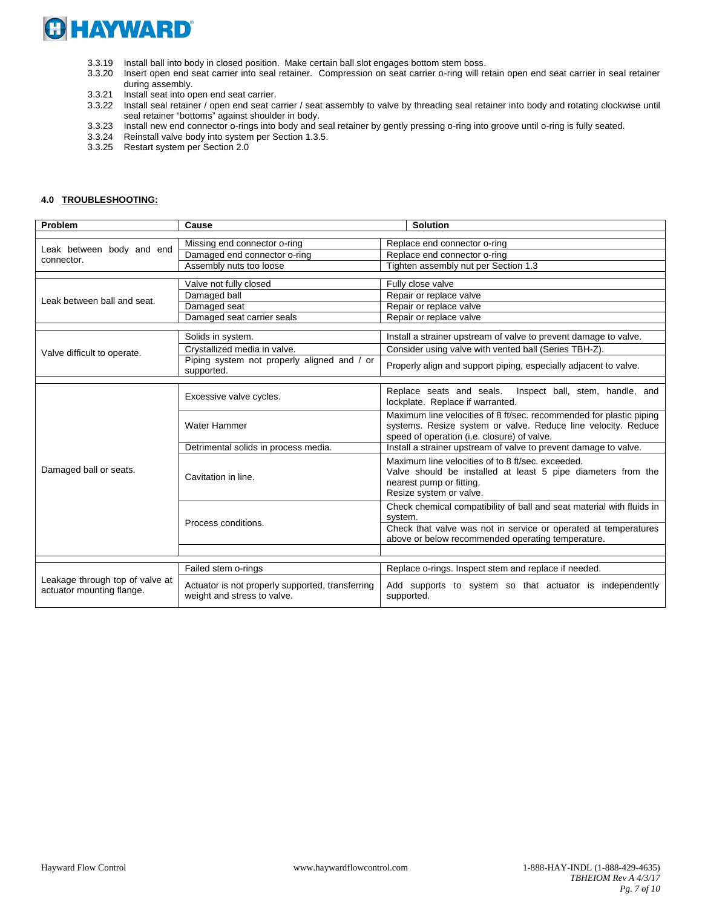

- 3.3.19 Install ball into body in closed position. Make certain ball slot engages bottom stem boss.
- 3.3.20 Insert open end seat carrier into seal retainer. Compression on seat carrier o-ring will retain open end seat carrier in seal retainer during assembly.
- 3.3.21 Install seat into open end seat carrier.
- 3.3.22 Install seal retainer / open end seat carrier / seat assembly to valve by threading seal retainer into body and rotating clockwise until seal retainer "bottoms" against shoulder in body.
- 3.3.23 Install new end connector o-rings into body and seal retainer by gently pressing o-ring into groove until o-ring is fully seated.
- 3.3.24 Reinstall valve body into system per Section 1.3.5.
- 3.3.25 Restart system per Section 2.0

#### **4.0 TROUBLESHOOTING:**

| Problem                                                      | Cause                                                                           | <b>Solution</b>                                                                                                                                                                     |
|--------------------------------------------------------------|---------------------------------------------------------------------------------|-------------------------------------------------------------------------------------------------------------------------------------------------------------------------------------|
|                                                              |                                                                                 |                                                                                                                                                                                     |
| Leak between body and end<br>connector.                      | Missing end connector o-ring                                                    | Replace end connector o-ring                                                                                                                                                        |
|                                                              | Damaged end connector o-ring                                                    | Replace end connector o-ring                                                                                                                                                        |
|                                                              | Assembly nuts too loose                                                         | Tighten assembly nut per Section 1.3                                                                                                                                                |
|                                                              | Valve not fully closed                                                          | Fully close valve                                                                                                                                                                   |
| Leak between ball and seat.                                  | Damaged ball                                                                    | Repair or replace valve                                                                                                                                                             |
|                                                              | Damaged seat                                                                    | Repair or replace valve                                                                                                                                                             |
|                                                              | Damaged seat carrier seals                                                      | Repair or replace valve                                                                                                                                                             |
|                                                              |                                                                                 |                                                                                                                                                                                     |
|                                                              | Solids in system.                                                               | Install a strainer upstream of valve to prevent damage to valve.                                                                                                                    |
| Valve difficult to operate.                                  | Crystallized media in valve.                                                    | Consider using valve with vented ball (Series TBH-Z).                                                                                                                               |
|                                                              | Piping system not properly aligned and / or<br>supported.                       | Properly align and support piping, especially adjacent to valve.                                                                                                                    |
|                                                              |                                                                                 |                                                                                                                                                                                     |
|                                                              | Excessive valve cycles.                                                         | Replace seats and seals.<br>Inspect ball, stem, handle, and<br>lockplate. Replace if warranted.                                                                                     |
|                                                              | Water Hammer                                                                    | Maximum line velocities of 8 ft/sec. recommended for plastic piping<br>systems. Resize system or valve. Reduce line velocity. Reduce<br>speed of operation (i.e. closure) of valve. |
|                                                              | Detrimental solids in process media.                                            | Install a strainer upstream of valve to prevent damage to valve.                                                                                                                    |
| Damaged ball or seats.                                       | Cavitation in line.                                                             | Maximum line velocities of to 8 ft/sec. exceeded.<br>Valve should be installed at least 5 pipe diameters from the<br>nearest pump or fitting.<br>Resize system or valve.            |
|                                                              | Process conditions.                                                             | Check chemical compatibility of ball and seat material with fluids in<br>system.                                                                                                    |
|                                                              |                                                                                 | Check that valve was not in service or operated at temperatures<br>above or below recommended operating temperature.                                                                |
|                                                              |                                                                                 |                                                                                                                                                                                     |
|                                                              | Failed stem o-rings                                                             | Replace o-rings. Inspect stem and replace if needed.                                                                                                                                |
| Leakage through top of valve at<br>actuator mounting flange. |                                                                                 |                                                                                                                                                                                     |
|                                                              | Actuator is not properly supported, transferring<br>weight and stress to valve. | Add supports to system so that actuator is independently<br>supported.                                                                                                              |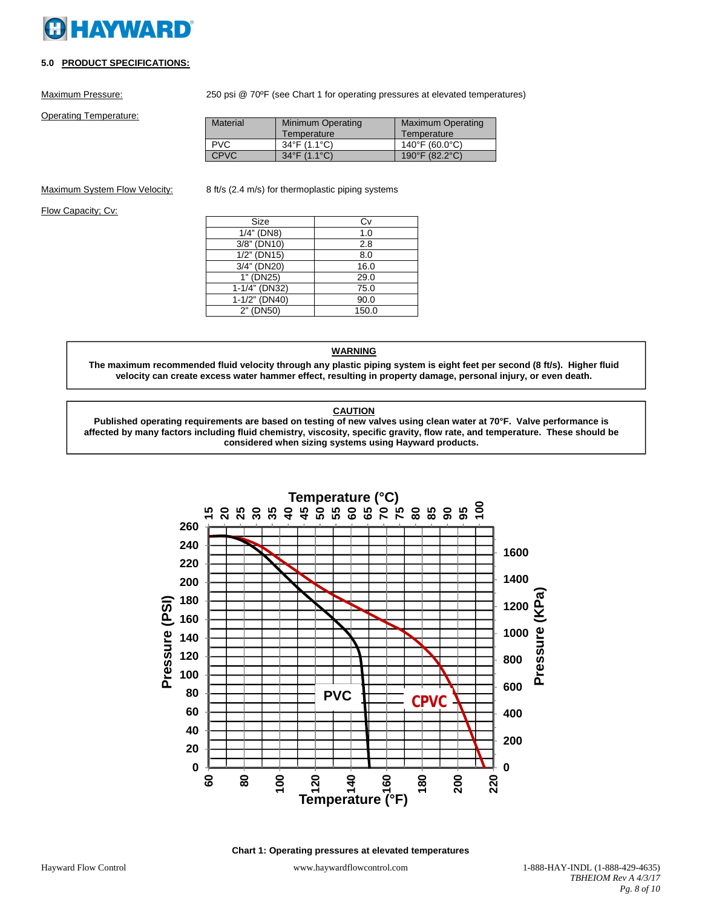# **HAYWARD**

# **5.0 PRODUCT SPECIFICATIONS:**

Maximum Pressure: 250 psi @ 70°F (see Chart 1 for operating pressures at elevated temperatures)

Operating Temperature:

Material | Minimum Operating **Temperature** Maximum Operating **Temperature** PVC 34°F (1.1°C) 140°F (60.0°C)<br>CPVC 34°F (1.1°C) 190°F (82.2°C) 190°F (82.2°C)

Maximum System Flow Velocity: 8 ft/s (2.4 m/s) for thermoplastic piping systems

Flow Capacity; Cv:

| Size           | C٧    |
|----------------|-------|
| $1/4$ " (DN8)  | 1.0   |
| 3/8" (DN10)    | 2.8   |
| $1/2$ " (DN15) | 8.0   |
| 3/4" (DN20)    | 16.0  |
| 1" (DN25)      | 29.0  |
| 1-1/4" (DN32)  | 75.0  |
| 1-1/2" (DN40)  | 90.0  |
| 2" (DN50)      | 150.0 |

# **WARNING**

**The maximum recommended fluid velocity through any plastic piping system is eight feet per second (8 ft/s). Higher fluid velocity can create excess water hammer effect, resulting in property damage, personal injury, or even death.**

# **CAUTION**

**Published operating requirements are based on testing of new valves using clean water at 70°F. Valve performance is affected by many factors including fluid chemistry, viscosity, specific gravity, flow rate, and temperature. These should be considered when sizing systems using Hayward products.**



**Chart 1: Operating pressures at elevated temperatures**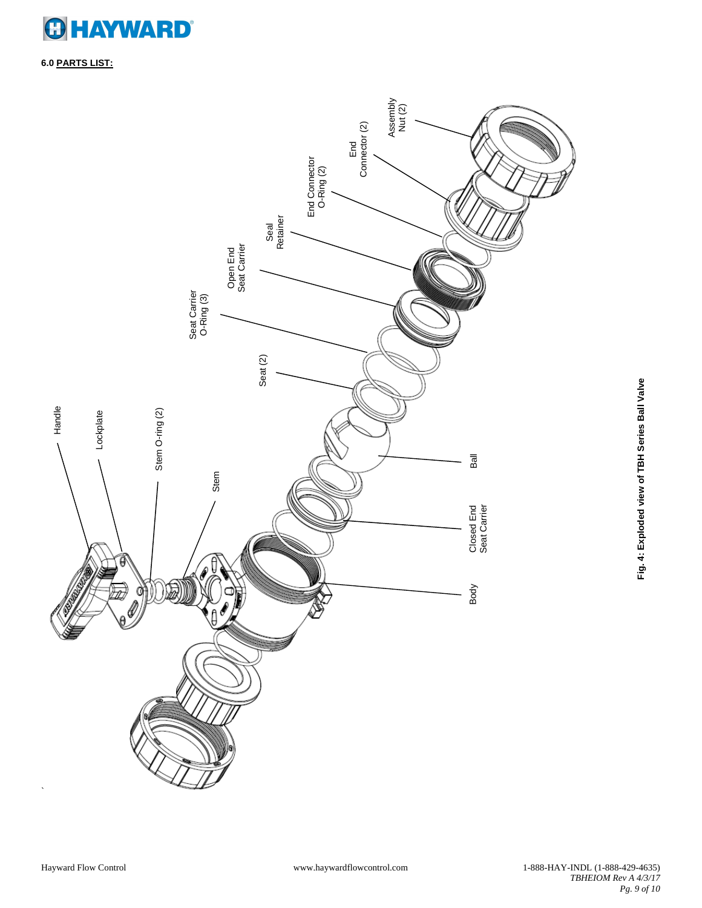

**6.0 PARTS LIST:**